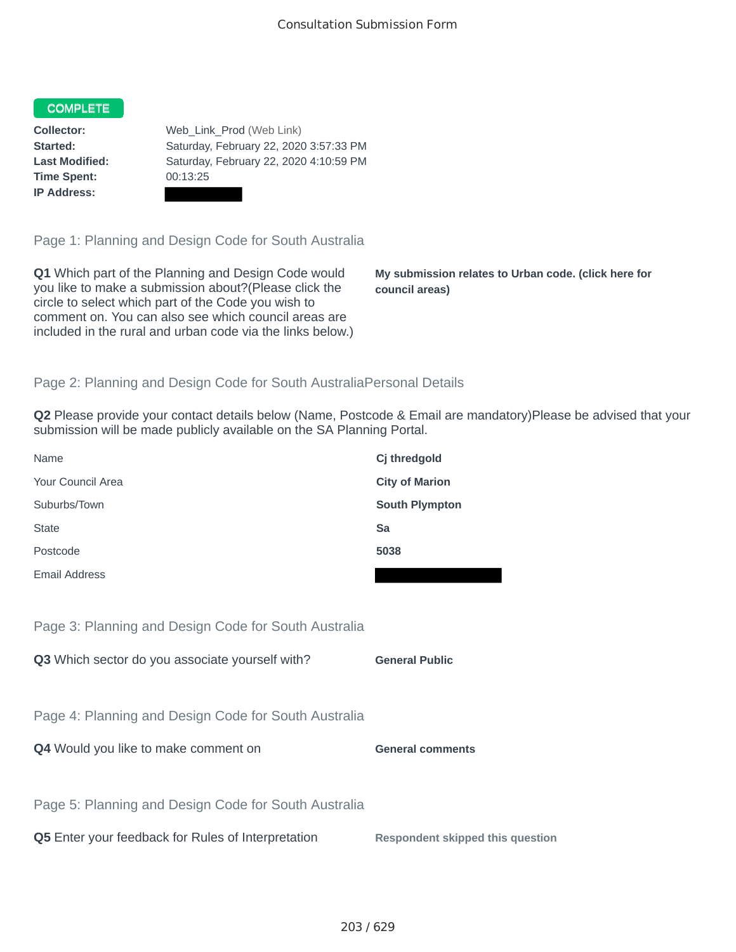## COMPLETE

**Time Spent:** 00:13:25 **IP Address:**

**Collector:** Web\_Link\_Prod (Web Link) **Started:** Saturday, February 22, 2020 3:57:33 PM **Last Modified:** Saturday, February 22, 2020 4:10:59 PM

Page 1: Planning and Design Code for South Australia

**Q1** Which part of the Planning and Design Code would you like to make a submission about?(Please click the circle to select which part of the Code you wish to comment on. You can also see which council areas are included in the rural and urban code via the links below.)

**My submission relates to Urban code. (click here for council areas)**

## Page 2: Planning and Design Code for South AustraliaPersonal Details

**Q2** Please provide your contact details below (Name, Postcode & Email are mandatory)Please be advised that your submission will be made publicly available on the SA Planning Portal.

| Name                                                 | Cj thredgold                            |
|------------------------------------------------------|-----------------------------------------|
| Your Council Area                                    | <b>City of Marion</b>                   |
| Suburbs/Town                                         | <b>South Plympton</b>                   |
| <b>State</b>                                         | Sa                                      |
| Postcode                                             | 5038                                    |
| <b>Email Address</b>                                 |                                         |
|                                                      |                                         |
| Page 3: Planning and Design Code for South Australia |                                         |
| Q3 Which sector do you associate yourself with?      | <b>General Public</b>                   |
|                                                      |                                         |
| Page 4: Planning and Design Code for South Australia |                                         |
| Q4 Would you like to make comment on                 | <b>General comments</b>                 |
|                                                      |                                         |
| Page 5: Planning and Design Code for South Australia |                                         |
| Q5 Enter your feedback for Rules of Interpretation   | <b>Respondent skipped this question</b> |
|                                                      |                                         |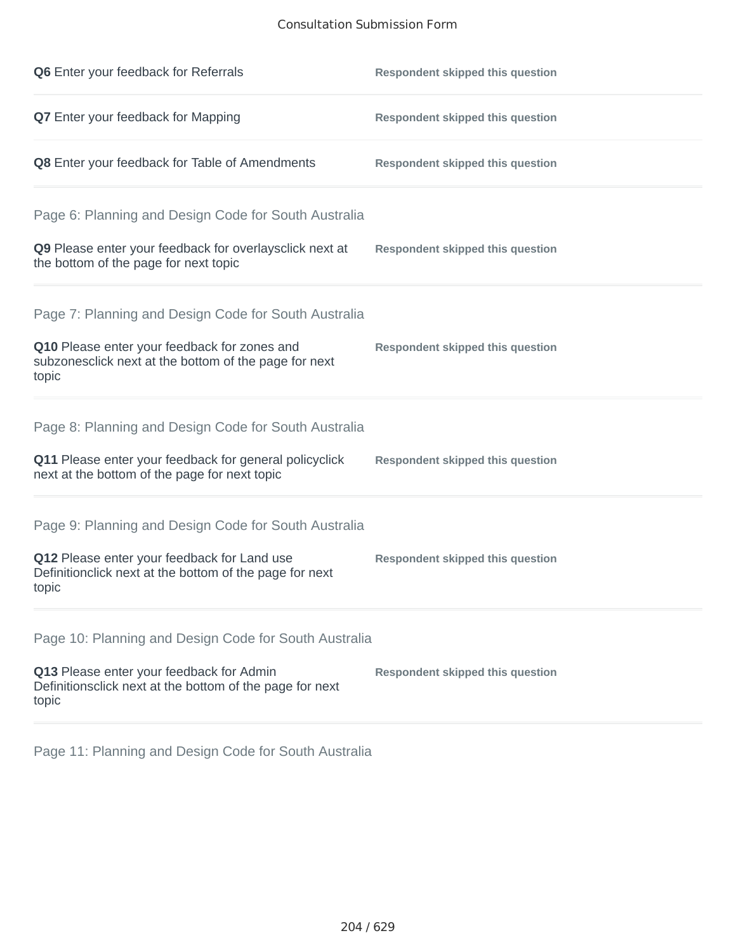## Consultation Submission Form

| Q6 Enter your feedback for Referrals                                                                            | <b>Respondent skipped this question</b> |
|-----------------------------------------------------------------------------------------------------------------|-----------------------------------------|
| <b>Q7</b> Enter your feedback for Mapping                                                                       | <b>Respondent skipped this question</b> |
| Q8 Enter your feedback for Table of Amendments                                                                  | <b>Respondent skipped this question</b> |
| Page 6: Planning and Design Code for South Australia                                                            |                                         |
| Q9 Please enter your feedback for overlaysclick next at<br>the bottom of the page for next topic                | <b>Respondent skipped this question</b> |
| Page 7: Planning and Design Code for South Australia                                                            |                                         |
| Q10 Please enter your feedback for zones and<br>subzonesclick next at the bottom of the page for next<br>topic  | <b>Respondent skipped this question</b> |
| Page 8: Planning and Design Code for South Australia                                                            |                                         |
| Q11 Please enter your feedback for general policyclick<br>next at the bottom of the page for next topic         | <b>Respondent skipped this question</b> |
| Page 9: Planning and Design Code for South Australia                                                            |                                         |
| Q12 Please enter your feedback for Land use<br>Definitionclick next at the bottom of the page for next<br>topic | <b>Respondent skipped this question</b> |
| Page 10: Planning and Design Code for South Australia                                                           |                                         |
| Q13 Please enter your feedback for Admin<br>Definitionsclick next at the bottom of the page for next<br>topic   | <b>Respondent skipped this question</b> |

Page 11: Planning and Design Code for South Australia